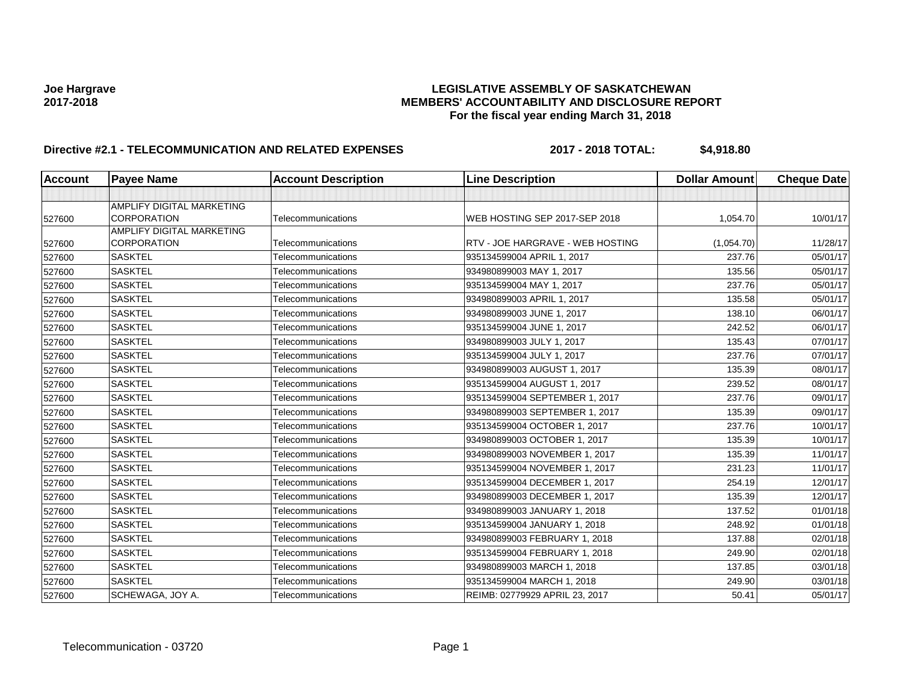# **Joe Hargrave LEGISLATIVE ASSEMBLY OF SASKATCHEWAN 2017-2018 MEMBERS' ACCOUNTABILITY AND DISCLOSURE REPORT For the fiscal year ending March 31, 2018**

# **Directive #2.1 - TELECOMMUNICATION AND RELATED EXPENSES 2017 - 2018 TOTAL: \$4,918.80**

| <b>Account</b> | <b>Payee Name</b>                               | <b>Account Description</b> | <b>Line Description</b>          | <b>Dollar Amount</b> | <b>Cheque Date</b> |
|----------------|-------------------------------------------------|----------------------------|----------------------------------|----------------------|--------------------|
|                |                                                 |                            |                                  |                      |                    |
| 527600         | AMPLIFY DIGITAL MARKETING<br><b>CORPORATION</b> | Telecommunications         | WEB HOSTING SEP 2017-SEP 2018    | 1,054.70             | 10/01/17           |
|                | <b>AMPLIFY DIGITAL MARKETING</b>                |                            |                                  |                      |                    |
| 527600         | <b>CORPORATION</b>                              | Telecommunications         | RTV - JOE HARGRAVE - WEB HOSTING | (1,054.70)           | 11/28/17           |
| 527600         | <b>SASKTEL</b>                                  | Telecommunications         | 935134599004 APRIL 1, 2017       | 237.76               | 05/01/17           |
| 527600         | <b>SASKTEL</b>                                  | Telecommunications         | 934980899003 MAY 1, 2017         | 135.56               | 05/01/17           |
| 527600         | <b>SASKTEL</b>                                  | Telecommunications         | 935134599004 MAY 1, 2017         | 237.76               | 05/01/17           |
| 527600         | <b>SASKTEL</b>                                  | Telecommunications         | 934980899003 APRIL 1, 2017       | 135.58               | 05/01/17           |
| 527600         | <b>SASKTEL</b>                                  | Telecommunications         | 934980899003 JUNE 1, 2017        | 138.10               | 06/01/17           |
| 527600         | <b>SASKTEL</b>                                  | Telecommunications         | 935134599004 JUNE 1, 2017        | 242.52               | 06/01/17           |
| 527600         | <b>SASKTEL</b>                                  | Telecommunications         | 934980899003 JULY 1, 2017        | 135.43               | 07/01/17           |
| 527600         | <b>SASKTEL</b>                                  | Telecommunications         | 935134599004 JULY 1, 2017        | 237.76               | 07/01/17           |
| 527600         | <b>SASKTEL</b>                                  | Telecommunications         | 934980899003 AUGUST 1, 2017      | 135.39               | 08/01/17           |
| 527600         | <b>SASKTEL</b>                                  | Telecommunications         | 935134599004 AUGUST 1, 2017      | 239.52               | 08/01/17           |
| 527600         | <b>SASKTEL</b>                                  | Telecommunications         | 935134599004 SEPTEMBER 1, 2017   | 237.76               | 09/01/17           |
| 527600         | <b>SASKTEL</b>                                  | Telecommunications         | 934980899003 SEPTEMBER 1, 2017   | 135.39               | 09/01/17           |
| 527600         | <b>SASKTEL</b>                                  | Telecommunications         | 935134599004 OCTOBER 1, 2017     | 237.76               | 10/01/17           |
| 527600         | <b>SASKTEL</b>                                  | Telecommunications         | 934980899003 OCTOBER 1, 2017     | 135.39               | 10/01/17           |
| 527600         | <b>SASKTEL</b>                                  | Telecommunications         | 934980899003 NOVEMBER 1, 2017    | 135.39               | 11/01/17           |
| 527600         | <b>SASKTEL</b>                                  | Telecommunications         | 935134599004 NOVEMBER 1, 2017    | 231.23               | 11/01/17           |
| 527600         | <b>SASKTEL</b>                                  | Telecommunications         | 935134599004 DECEMBER 1, 2017    | 254.19               | 12/01/17           |
| 527600         | <b>SASKTEL</b>                                  | Telecommunications         | 934980899003 DECEMBER 1, 2017    | 135.39               | 12/01/17           |
| 527600         | <b>SASKTEL</b>                                  | Telecommunications         | 934980899003 JANUARY 1, 2018     | 137.52               | 01/01/18           |
| 527600         | <b>SASKTEL</b>                                  | Telecommunications         | 935134599004 JANUARY 1, 2018     | 248.92               | 01/01/18           |
| 527600         | <b>SASKTEL</b>                                  | Telecommunications         | 934980899003 FEBRUARY 1, 2018    | 137.88               | 02/01/18           |
| 527600         | <b>SASKTEL</b>                                  | Telecommunications         | 935134599004 FEBRUARY 1, 2018    | 249.90               | 02/01/18           |
| 527600         | <b>SASKTEL</b>                                  | Telecommunications         | 934980899003 MARCH 1, 2018       | 137.85               | 03/01/18           |
| 527600         | <b>SASKTEL</b>                                  | Telecommunications         | 935134599004 MARCH 1, 2018       | 249.90               | 03/01/18           |
| 527600         | SCHEWAGA, JOY A.                                | Telecommunications         | REIMB: 02779929 APRIL 23, 2017   | 50.41                | 05/01/17           |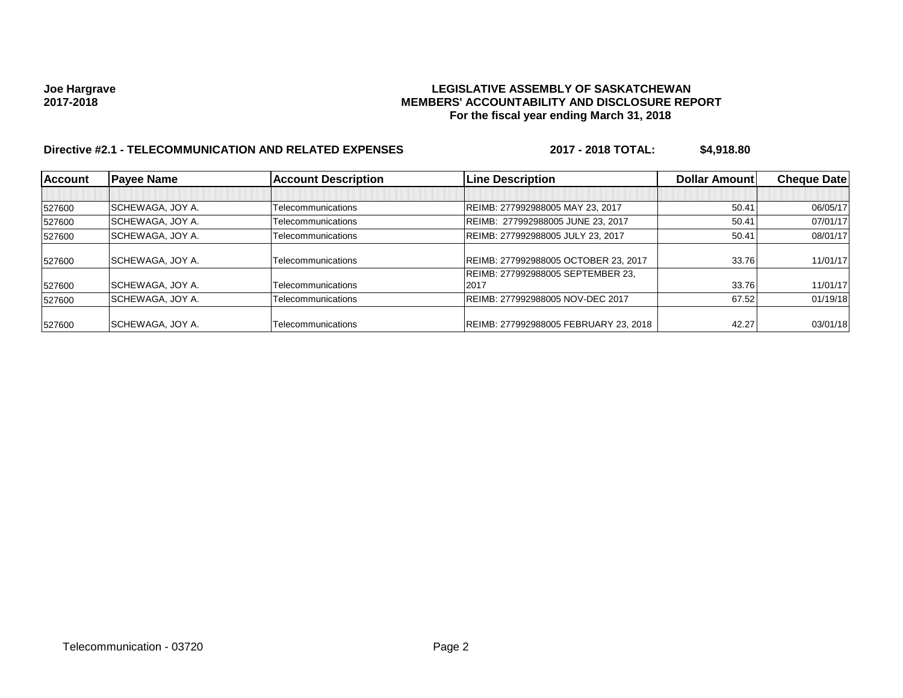# **Joe Hargrave LEGISLATIVE ASSEMBLY OF SASKATCHEWAN 2017-2018 MEMBERS' ACCOUNTABILITY AND DISCLOSURE REPORT For the fiscal year ending March 31, 2018**

# **Directive #2.1 - TELECOMMUNICATION AND RELATED EXPENSES 2017 - 2018 TOTAL: \$4,918.80**

| <b>Account</b> | <b>Payee Name</b>       | <b>Account Description</b> | <b>Line Description</b>               | Dollar Amount | <b>Cheque Date</b> |
|----------------|-------------------------|----------------------------|---------------------------------------|---------------|--------------------|
|                |                         |                            |                                       |               |                    |
| 527600         | SCHEWAGA, JOY A.        | Telecommunications         | REIMB: 277992988005 MAY 23, 2017      | 50.41         | 06/05/17           |
| 527600         | SCHEWAGA, JOY A.        | Telecommunications         | REIMB: 277992988005 JUNE 23, 2017     | 50.41         | 07/01/17           |
| 527600         | SCHEWAGA, JOY A.        | Telecommunications         | REIMB: 277992988005 JULY 23, 2017     | 50.41         | 08/01/17           |
| 527600         | SCHEWAGA, JOY A.        | Telecommunications         | REIMB: 277992988005 OCTOBER 23, 2017  | 33.76         | 11/01/17           |
|                |                         |                            | REIMB: 277992988005 SEPTEMBER 23.     |               |                    |
| 527600         | SCHEWAGA, JOY A.        | Telecommunications         | 2017                                  | 33.76         | 11/01/17           |
| 527600         | SCHEWAGA, JOY A.        | Telecommunications         | REIMB: 277992988005 NOV-DEC 2017      | 67.52         | 01/19/18           |
| 527600         | <b>SCHEWAGA, JOY A.</b> | Telecommunications         | REIMB: 277992988005 FEBRUARY 23, 2018 | 42.27         | 03/01/18           |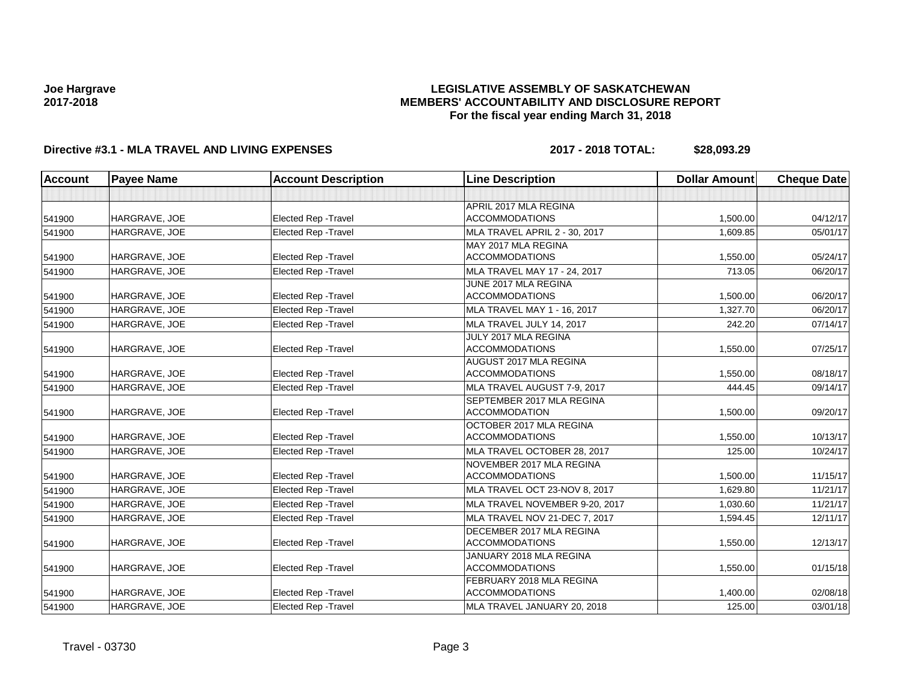### **LEGISLATIVE ASSEMBLY OF SASKATCHEWAN MEMBERS' ACCOUNTABILITY AND DISCLOSURE REPORT For the fiscal year ending March 31, 2018**

# **Directive #3.1 - MLA TRAVEL AND LIVING EXPENSES 2017 - 2018 TOTAL: \$28,093.29**

| <b>Account</b> | <b>Payee Name</b> | <b>Account Description</b>  | <b>Line Description</b>                           | <b>Dollar Amount</b> | <b>Cheque Date</b> |
|----------------|-------------------|-----------------------------|---------------------------------------------------|----------------------|--------------------|
|                |                   |                             |                                                   |                      |                    |
|                |                   |                             | APRIL 2017 MLA REGINA                             |                      |                    |
| 541900         | HARGRAVE, JOE     | Elected Rep - Travel        | <b>ACCOMMODATIONS</b>                             | 1,500.00             | 04/12/17           |
| 541900         | HARGRAVE, JOE     | <b>Elected Rep - Travel</b> | <b>MLA TRAVEL APRIL 2 - 30, 2017</b>              | 1,609.85             | 05/01/17           |
| 541900         | HARGRAVE, JOE     | Elected Rep - Travel        | MAY 2017 MLA REGINA<br><b>ACCOMMODATIONS</b>      | 1,550.00             | 05/24/17           |
| 541900         | HARGRAVE, JOE     | Elected Rep - Travel        | MLA TRAVEL MAY 17 - 24, 2017                      | 713.05               | 06/20/17           |
|                |                   |                             | JUNE 2017 MLA REGINA                              |                      |                    |
| 541900         | HARGRAVE, JOE     | Elected Rep - Travel        | <b>ACCOMMODATIONS</b>                             | 1,500.00             | 06/20/17           |
| 541900         | HARGRAVE, JOE     | <b>Elected Rep - Travel</b> | MLA TRAVEL MAY 1 - 16, 2017                       | 1.327.70             | 06/20/17           |
| 541900         | HARGRAVE, JOE     | <b>Elected Rep - Travel</b> | MLA TRAVEL JULY 14, 2017                          | 242.20               | 07/14/17           |
| 541900         | HARGRAVE, JOE     | <b>Elected Rep - Travel</b> | JULY 2017 MLA REGINA<br><b>ACCOMMODATIONS</b>     | 1,550.00             | 07/25/17           |
|                |                   |                             | AUGUST 2017 MLA REGINA                            |                      |                    |
| 541900         | HARGRAVE, JOE     | <b>Elected Rep - Travel</b> | <b>ACCOMMODATIONS</b>                             | 1,550.00             | 08/18/17           |
| 541900         | HARGRAVE, JOE     | <b>Elected Rep - Travel</b> | MLA TRAVEL AUGUST 7-9, 2017                       | 444.45               | 09/14/17           |
| 541900         | HARGRAVE, JOE     | <b>Elected Rep - Travel</b> | SEPTEMBER 2017 MLA REGINA<br><b>ACCOMMODATION</b> | 1,500.00             | 09/20/17           |
|                |                   |                             | OCTOBER 2017 MLA REGINA                           |                      |                    |
| 541900         | HARGRAVE, JOE     | <b>Elected Rep - Travel</b> | <b>ACCOMMODATIONS</b>                             | 1,550.00             | 10/13/17           |
| 541900         | HARGRAVE, JOE     | <b>Elected Rep - Travel</b> | MLA TRAVEL OCTOBER 28, 2017                       | 125.00               | 10/24/17           |
| 541900         | HARGRAVE, JOE     | <b>Elected Rep - Travel</b> | NOVEMBER 2017 MLA REGINA<br><b>ACCOMMODATIONS</b> | 1,500.00             | 11/15/17           |
| 541900         | HARGRAVE, JOE     | Elected Rep - Travel        | MLA TRAVEL OCT 23-NOV 8, 2017                     | 1,629.80             | 11/21/17           |
| 541900         | HARGRAVE, JOE     | <b>Elected Rep - Travel</b> | MLA TRAVEL NOVEMBER 9-20, 2017                    | 1,030.60             | 11/21/17           |
| 541900         | HARGRAVE, JOE     | Elected Rep - Travel        | MLA TRAVEL NOV 21-DEC 7, 2017                     | 1,594.45             | 12/11/17           |
|                |                   |                             | <b>DECEMBER 2017 MLA REGINA</b>                   |                      |                    |
| 541900         | HARGRAVE, JOE     | <b>Elected Rep - Travel</b> | <b>ACCOMMODATIONS</b>                             | 1,550.00             | 12/13/17           |
| 541900         | HARGRAVE, JOE     | Elected Rep - Travel        | JANUARY 2018 MLA REGINA<br><b>ACCOMMODATIONS</b>  | 1,550.00             | 01/15/18           |
|                |                   |                             | FEBRUARY 2018 MLA REGINA                          |                      |                    |
| 541900         | HARGRAVE, JOE     | <b>Elected Rep - Travel</b> | <b>ACCOMMODATIONS</b>                             | 1,400.00             | 02/08/18           |
| 541900         | HARGRAVE, JOE     | <b>Elected Rep - Travel</b> | MLA TRAVEL JANUARY 20, 2018                       | 125.00               | 03/01/18           |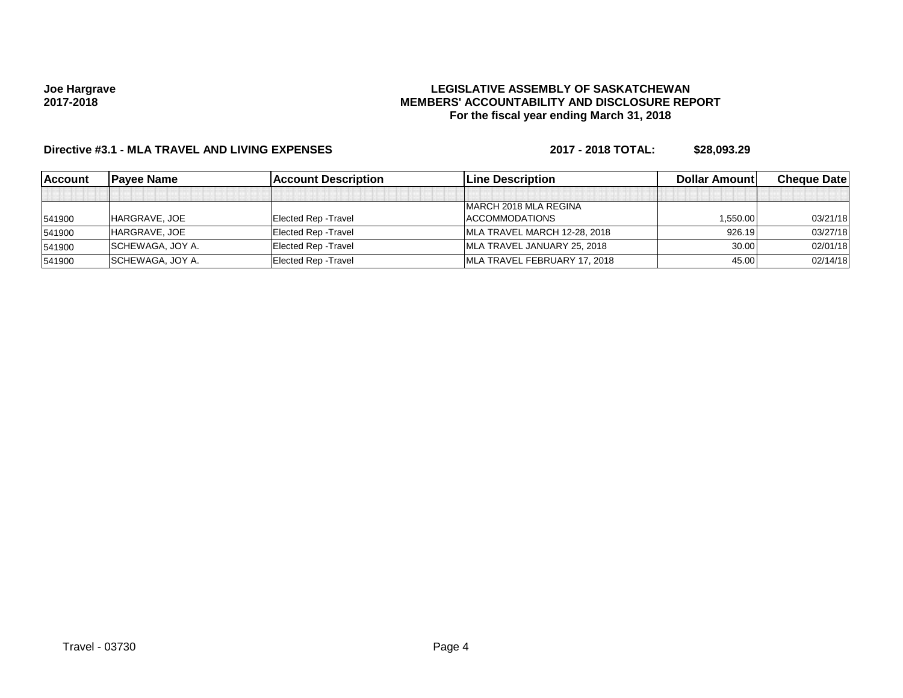### **LEGISLATIVE ASSEMBLY OF SASKATCHEWAN MEMBERS' ACCOUNTABILITY AND DISCLOSURE REPORT For the fiscal year ending March 31, 2018**

# **Directive #3.1 - MLA TRAVEL AND LIVING EXPENSES 2017 - 2018 TOTAL: \$28,093.29**

| <b>Account</b> | lPavee Name      | lAccount Description        | <b>ILine Description</b>     | Dollar Amountl | <b>Cheque Datel</b> |
|----------------|------------------|-----------------------------|------------------------------|----------------|---------------------|
|                |                  |                             |                              |                |                     |
|                |                  |                             | MARCH 2018 MLA REGINA        |                |                     |
| 541900         | HARGRAVE, JOE    | Elected Rep - Travel        | <b>ACCOMMODATIONS</b>        | 1,550.00       | 03/21/18            |
| 541900         | HARGRAVE, JOE    | <b>Elected Rep - Travel</b> | MLA TRAVEL MARCH 12-28, 2018 | 926.19         | 03/27/18            |
| 541900         | SCHEWAGA, JOY A. | <b>Elected Rep - Travel</b> | MLA TRAVEL JANUARY 25, 2018  | 30.00          | 02/01/18            |
| 541900         | SCHEWAGA, JOY A. | <b>Elected Rep - Travel</b> | MLA TRAVEL FEBRUARY 17, 2018 | 45.00          | 02/14/18            |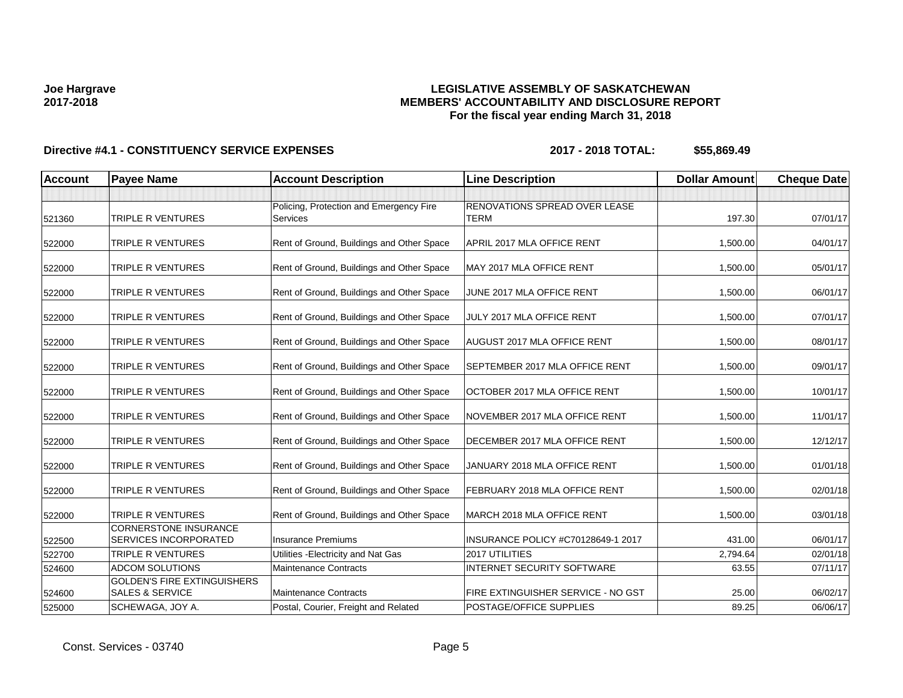### **LEGISLATIVE ASSEMBLY OF SASKATCHEWAN MEMBERS' ACCOUNTABILITY AND DISCLOSURE REPORT For the fiscal year ending March 31, 2018**

| <b>Account</b> | <b>Payee Name</b>                                                | <b>Account Description</b>                          | <b>Line Description</b>                      | <b>Dollar Amount</b> | <b>Cheque Date</b> |
|----------------|------------------------------------------------------------------|-----------------------------------------------------|----------------------------------------------|----------------------|--------------------|
|                |                                                                  |                                                     |                                              |                      |                    |
| 521360         | TRIPLE R VENTURES                                                | Policing, Protection and Emergency Fire<br>Services | RENOVATIONS SPREAD OVER LEASE<br><b>TERM</b> | 197.30               | 07/01/17           |
| 522000         | TRIPLE R VENTURES                                                | Rent of Ground, Buildings and Other Space           | APRIL 2017 MLA OFFICE RENT                   | 1,500.00             | 04/01/17           |
| 522000         | <b>TRIPLE R VENTURES</b>                                         | Rent of Ground, Buildings and Other Space           | MAY 2017 MLA OFFICE RENT                     | 1,500.00             | 05/01/17           |
| 522000         | TRIPLE R VENTURES                                                | Rent of Ground, Buildings and Other Space           | JUNE 2017 MLA OFFICE RENT                    | 1,500.00             | 06/01/17           |
| 522000         | <b>TRIPLE R VENTURES</b>                                         | Rent of Ground, Buildings and Other Space           | JULY 2017 MLA OFFICE RENT                    | 1,500.00             | 07/01/17           |
| 522000         | TRIPLE R VENTURES                                                | Rent of Ground, Buildings and Other Space           | AUGUST 2017 MLA OFFICE RENT                  | 1,500.00             | 08/01/17           |
| 522000         | <b>TRIPLE R VENTURES</b>                                         | Rent of Ground, Buildings and Other Space           | SEPTEMBER 2017 MLA OFFICE RENT               | 1,500.00             | 09/01/17           |
| 522000         | TRIPLE R VENTURES                                                | Rent of Ground, Buildings and Other Space           | OCTOBER 2017 MLA OFFICE RENT                 | 1,500.00             | 10/01/17           |
| 522000         | TRIPLE R VENTURES                                                | Rent of Ground, Buildings and Other Space           | NOVEMBER 2017 MLA OFFICE RENT                | 1,500.00             | 11/01/17           |
| 522000         | <b>TRIPLE R VENTURES</b>                                         | Rent of Ground, Buildings and Other Space           | DECEMBER 2017 MLA OFFICE RENT                | 1,500.00             | 12/12/17           |
| 522000         | TRIPLE R VENTURES                                                | Rent of Ground, Buildings and Other Space           | JANUARY 2018 MLA OFFICE RENT                 | 1,500.00             | 01/01/18           |
| 522000         | <b>TRIPLE R VENTURES</b>                                         | Rent of Ground, Buildings and Other Space           | FEBRUARY 2018 MLA OFFICE RENT                | 1,500.00             | 02/01/18           |
| 522000         | TRIPLE R VENTURES                                                | Rent of Ground, Buildings and Other Space           | MARCH 2018 MLA OFFICE RENT                   | 1,500.00             | 03/01/18           |
| 522500         | <b>CORNERSTONE INSURANCE</b><br><b>SERVICES INCORPORATED</b>     | <b>Insurance Premiums</b>                           | INSURANCE POLICY #C70128649-1 2017           | 431.00               | 06/01/17           |
| 522700         | <b>TRIPLE R VENTURES</b>                                         | Utilities - Electricity and Nat Gas                 | 2017 UTILITIES                               | 2,794.64             | 02/01/18           |
| 524600         | <b>ADCOM SOLUTIONS</b>                                           | <b>Maintenance Contracts</b>                        | INTERNET SECURITY SOFTWARE                   | 63.55                | 07/11/17           |
| 524600         | <b>GOLDEN'S FIRE EXTINGUISHERS</b><br><b>SALES &amp; SERVICE</b> | <b>Maintenance Contracts</b>                        | FIRE EXTINGUISHER SERVICE - NO GST           | 25.00                | 06/02/17           |
| 525000         | SCHEWAGA, JOY A.                                                 | Postal, Courier, Freight and Related                | POSTAGE/OFFICE SUPPLIES                      | 89.25                | 06/06/17           |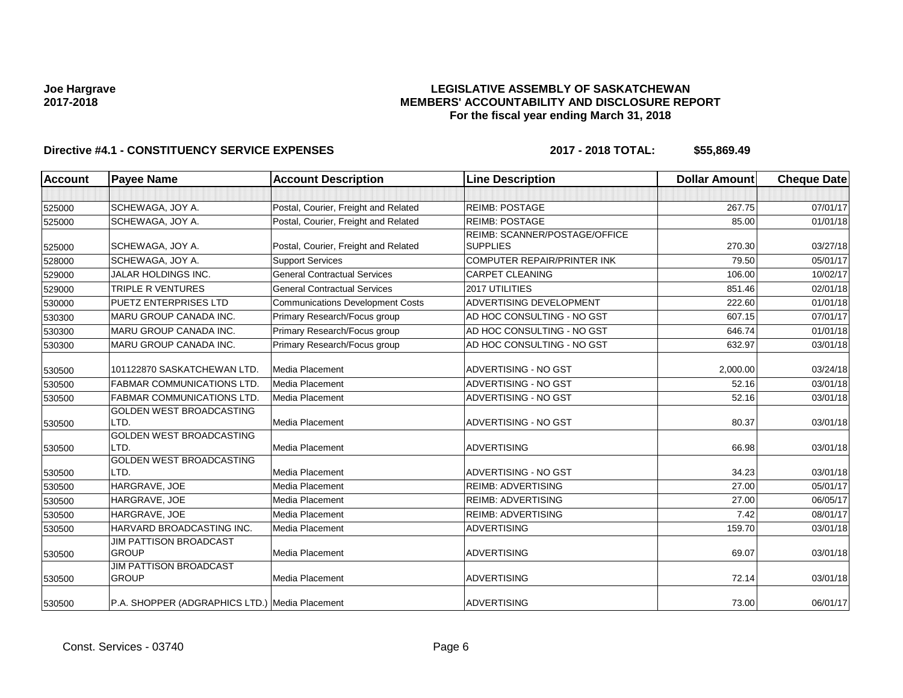### **LEGISLATIVE ASSEMBLY OF SASKATCHEWAN MEMBERS' ACCOUNTABILITY AND DISCLOSURE REPORT For the fiscal year ending March 31, 2018**

| <b>Account</b> | <b>Payee Name</b>                              | <b>Account Description</b>              | <b>Line Description</b>            | <b>Dollar Amount</b> | <b>Cheque Date</b> |
|----------------|------------------------------------------------|-----------------------------------------|------------------------------------|----------------------|--------------------|
|                |                                                |                                         |                                    |                      |                    |
| 525000         | SCHEWAGA, JOY A.                               | Postal, Courier, Freight and Related    | <b>REIMB: POSTAGE</b>              | 267.75               | 07/01/17           |
| 525000         | SCHEWAGA, JOY A.                               | Postal, Courier, Freight and Related    | <b>REIMB: POSTAGE</b>              | 85.00                | 01/01/18           |
|                |                                                |                                         | REIMB: SCANNER/POSTAGE/OFFICE      |                      |                    |
| 525000         | <b>SCHEWAGA, JOY A.</b>                        | Postal, Courier, Freight and Related    | <b>SUPPLIES</b>                    | 270.30               | 03/27/18           |
| 528000         | SCHEWAGA, JOY A.                               | <b>Support Services</b>                 | <b>COMPUTER REPAIR/PRINTER INK</b> | 79.50                | 05/01/17           |
| 529000         | <b>JALAR HOLDINGS INC.</b>                     | <b>General Contractual Services</b>     | <b>CARPET CLEANING</b>             | 106.00               | 10/02/17           |
| 529000         | <b>TRIPLE R VENTURES</b>                       | <b>General Contractual Services</b>     | 2017 UTILITIES                     | 851.46               | 02/01/18           |
| 530000         | <b>PUETZ ENTERPRISES LTD</b>                   | <b>Communications Development Costs</b> | ADVERTISING DEVELOPMENT            | 222.60               | 01/01/18           |
| 530300         | MARU GROUP CANADA INC.                         | Primary Research/Focus group            | AD HOC CONSULTING - NO GST         | 607.15               | 07/01/17           |
| 530300         | MARU GROUP CANADA INC.                         | Primary Research/Focus group            | AD HOC CONSULTING - NO GST         | 646.74               | 01/01/18           |
| 530300         | <b>MARU GROUP CANADA INC.</b>                  | Primary Research/Focus group            | AD HOC CONSULTING - NO GST         | 632.97               | 03/01/18           |
| 530500         | 101122870 SASKATCHEWAN LTD.                    | Media Placement                         | ADVERTISING - NO GST               | 2,000.00             | 03/24/18           |
| 530500         | <b>FABMAR COMMUNICATIONS LTD.</b>              | Media Placement                         | ADVERTISING - NO GST               | 52.16                | 03/01/18           |
| 530500         | <b>FABMAR COMMUNICATIONS LTD.</b>              | Media Placement                         | <b>ADVERTISING - NO GST</b>        | 52.16                | 03/01/18           |
| 530500         | GOLDEN WEST BROADCASTING<br>LTD.               | Media Placement                         | ADVERTISING - NO GST               | 80.37                | 03/01/18           |
| 530500         | <b>GOLDEN WEST BROADCASTING</b><br>LTD.        | Media Placement                         | <b>ADVERTISING</b>                 | 66.98                | 03/01/18           |
|                | <b>GOLDEN WEST BROADCASTING</b>                |                                         |                                    |                      |                    |
| 530500         | LTD.                                           | Media Placement                         | ADVERTISING - NO GST               | 34.23                | 03/01/18           |
| 530500         | HARGRAVE, JOE                                  | Media Placement                         | <b>REIMB: ADVERTISING</b>          | 27.00                | 05/01/17           |
| 530500         | HARGRAVE, JOE                                  | Media Placement                         | <b>REIMB: ADVERTISING</b>          | 27.00                | 06/05/17           |
| 530500         | HARGRAVE, JOE                                  | Media Placement                         | <b>REIMB: ADVERTISING</b>          | 7.42                 | 08/01/17           |
| 530500         | HARVARD BROADCASTING INC.                      | Media Placement                         | <b>ADVERTISING</b>                 | 159.70               | 03/01/18           |
| 530500         | <b>JIM PATTISON BROADCAST</b><br><b>GROUP</b>  | Media Placement                         | <b>ADVERTISING</b>                 | 69.07                | 03/01/18           |
| 530500         | <b>JIM PATTISON BROADCAST</b><br><b>GROUP</b>  | Media Placement                         | <b>ADVERTISING</b>                 | 72.14                | 03/01/18           |
| 530500         | P.A. SHOPPER (ADGRAPHICS LTD.) Media Placement |                                         | <b>ADVERTISING</b>                 | 73.00                | 06/01/17           |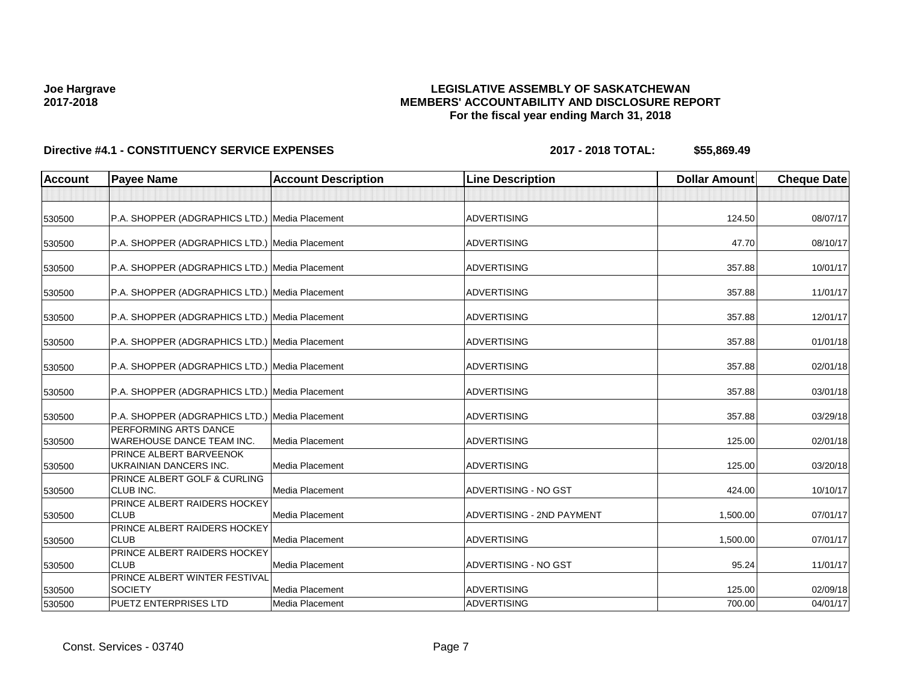## **LEGISLATIVE ASSEMBLY OF SASKATCHEWAN MEMBERS' ACCOUNTABILITY AND DISCLOSURE REPORT For the fiscal year ending March 31, 2018**

| <b>Account</b> | <b>Payee Name</b>                                         | <b>Account Description</b> | <b>Line Description</b>   | <b>Dollar Amount</b> | <b>Cheque Date</b> |
|----------------|-----------------------------------------------------------|----------------------------|---------------------------|----------------------|--------------------|
|                |                                                           |                            |                           |                      |                    |
| 530500         | P.A. SHOPPER (ADGRAPHICS LTD.) Media Placement            |                            | <b>ADVERTISING</b>        | 124.50               | 08/07/17           |
| 530500         | P.A. SHOPPER (ADGRAPHICS LTD.) Media Placement            |                            | <b>ADVERTISING</b>        | 47.70                | 08/10/17           |
| 530500         | P.A. SHOPPER (ADGRAPHICS LTD.) Media Placement            |                            | <b>ADVERTISING</b>        | 357.88               | 10/01/17           |
| 530500         | P.A. SHOPPER (ADGRAPHICS LTD.) Media Placement            |                            | <b>ADVERTISING</b>        | 357.88               | 11/01/17           |
| 530500         | P.A. SHOPPER (ADGRAPHICS LTD.) Media Placement            |                            | <b>ADVERTISING</b>        | 357.88               | 12/01/17           |
| 530500         | P.A. SHOPPER (ADGRAPHICS LTD.) Media Placement            |                            | <b>ADVERTISING</b>        | 357.88               | 01/01/18           |
| 530500         | P.A. SHOPPER (ADGRAPHICS LTD.) Media Placement            |                            | <b>ADVERTISING</b>        | 357.88               | 02/01/18           |
| 530500         | P.A. SHOPPER (ADGRAPHICS LTD.) Media Placement            |                            | <b>ADVERTISING</b>        | 357.88               | 03/01/18           |
| 530500         | P.A. SHOPPER (ADGRAPHICS LTD.) Media Placement            |                            | <b>ADVERTISING</b>        | 357.88               | 03/29/18           |
| 530500         | PERFORMING ARTS DANCE<br><b>WAREHOUSE DANCE TEAM INC.</b> | Media Placement            | <b>ADVERTISING</b>        | 125.00               | 02/01/18           |
| 530500         | PRINCE ALBERT BARVEENOK<br>UKRAINIAN DANCERS INC.         | Media Placement            | <b>ADVERTISING</b>        | 125.00               | 03/20/18           |
| 530500         | PRINCE ALBERT GOLF & CURLING<br>CLUB INC.                 | <b>Media Placement</b>     | ADVERTISING - NO GST      | 424.00               | 10/10/17           |
| 530500         | PRINCE ALBERT RAIDERS HOCKEY<br><b>CLUB</b>               | Media Placement            | ADVERTISING - 2ND PAYMENT | 1,500.00             | 07/01/17           |
| 530500         | PRINCE ALBERT RAIDERS HOCKEY<br><b>CLUB</b>               | <b>Media Placement</b>     | <b>ADVERTISING</b>        | 1,500.00             | 07/01/17           |
| 530500         | PRINCE ALBERT RAIDERS HOCKEY<br><b>CLUB</b>               | <b>Media Placement</b>     | ADVERTISING - NO GST      | 95.24                | 11/01/17           |
| 530500         | PRINCE ALBERT WINTER FESTIVAL<br><b>SOCIETY</b>           | Media Placement            | <b>ADVERTISING</b>        | 125.00               | 02/09/18           |
| 530500         | <b>PUETZ ENTERPRISES LTD</b>                              | Media Placement            | <b>ADVERTISING</b>        | 700.00               | 04/01/17           |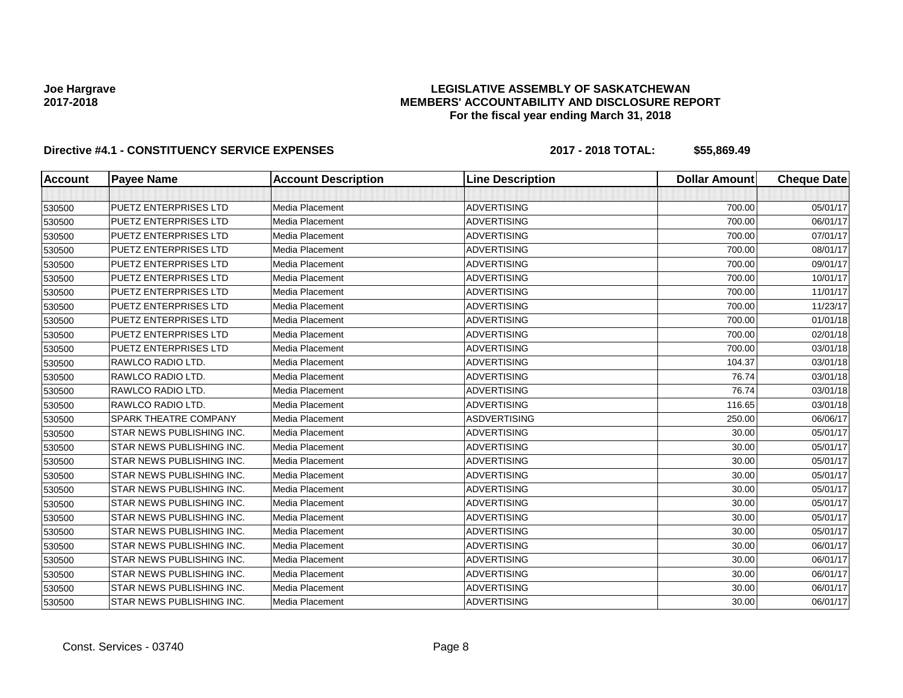### **LEGISLATIVE ASSEMBLY OF SASKATCHEWAN MEMBERS' ACCOUNTABILITY AND DISCLOSURE REPORT For the fiscal year ending March 31, 2018**

| <b>Account</b> | <b>Payee Name</b>            | <b>Account Description</b> | <b>Line Description</b> | <b>Dollar Amount</b> | <b>Cheque Date</b> |
|----------------|------------------------------|----------------------------|-------------------------|----------------------|--------------------|
|                |                              |                            |                         |                      |                    |
| 530500         | <b>PUETZ ENTERPRISES LTD</b> | Media Placement            | <b>ADVERTISING</b>      | 700.00               | 05/01/17           |
| 530500         | <b>PUETZ ENTERPRISES LTD</b> | Media Placement            | <b>ADVERTISING</b>      | 700.00               | 06/01/17           |
| 530500         | <b>PUETZ ENTERPRISES LTD</b> | Media Placement            | <b>ADVERTISING</b>      | 700.00               | 07/01/17           |
| 530500         | <b>PUETZ ENTERPRISES LTD</b> | Media Placement            | <b>ADVERTISING</b>      | 700.00               | 08/01/17           |
| 530500         | <b>PUETZ ENTERPRISES LTD</b> | Media Placement            | <b>ADVERTISING</b>      | 700.00               | 09/01/17           |
| 530500         | <b>PUETZ ENTERPRISES LTD</b> | Media Placement            | <b>ADVERTISING</b>      | 700.00               | 10/01/17           |
| 530500         | <b>PUETZ ENTERPRISES LTD</b> | Media Placement            | <b>ADVERTISING</b>      | 700.00               | 11/01/17           |
| 530500         | <b>PUETZ ENTERPRISES LTD</b> | Media Placement            | <b>ADVERTISING</b>      | 700.00               | 11/23/17           |
| 530500         | <b>PUETZ ENTERPRISES LTD</b> | Media Placement            | <b>ADVERTISING</b>      | 700.00               | 01/01/18           |
| 530500         | <b>PUETZ ENTERPRISES LTD</b> | Media Placement            | <b>ADVERTISING</b>      | 700.00               | 02/01/18           |
| 530500         | <b>PUETZ ENTERPRISES LTD</b> | Media Placement            | <b>ADVERTISING</b>      | 700.00               | 03/01/18           |
| 530500         | RAWLCO RADIO LTD.            | Media Placement            | <b>ADVERTISING</b>      | 104.37               | 03/01/18           |
| 530500         | RAWLCO RADIO LTD.            | Media Placement            | <b>ADVERTISING</b>      | 76.74                | 03/01/18           |
| 530500         | RAWLCO RADIO LTD.            | Media Placement            | <b>ADVERTISING</b>      | 76.74                | 03/01/18           |
| 530500         | RAWLCO RADIO LTD.            | Media Placement            | <b>ADVERTISING</b>      | 116.65               | 03/01/18           |
| 530500         | SPARK THEATRE COMPANY        | Media Placement            | <b>ASDVERTISING</b>     | 250.00               | 06/06/17           |
| 530500         | STAR NEWS PUBLISHING INC.    | Media Placement            | <b>ADVERTISING</b>      | 30.00                | 05/01/17           |
| 530500         | STAR NEWS PUBLISHING INC.    | Media Placement            | <b>ADVERTISING</b>      | 30.00                | 05/01/17           |
| 530500         | STAR NEWS PUBLISHING INC.    | Media Placement            | <b>ADVERTISING</b>      | 30.00                | 05/01/17           |
| 530500         | STAR NEWS PUBLISHING INC.    | Media Placement            | <b>ADVERTISING</b>      | 30.00                | 05/01/17           |
| 530500         | STAR NEWS PUBLISHING INC.    | Media Placement            | <b>ADVERTISING</b>      | 30.00                | 05/01/17           |
| 530500         | STAR NEWS PUBLISHING INC.    | Media Placement            | <b>ADVERTISING</b>      | 30.00                | 05/01/17           |
| 530500         | STAR NEWS PUBLISHING INC.    | Media Placement            | <b>ADVERTISING</b>      | 30.00                | 05/01/17           |
| 530500         | STAR NEWS PUBLISHING INC.    | <b>Media Placement</b>     | <b>ADVERTISING</b>      | 30.00                | 05/01/17           |
| 530500         | STAR NEWS PUBLISHING INC.    | Media Placement            | <b>ADVERTISING</b>      | 30.00                | 06/01/17           |
| 530500         | STAR NEWS PUBLISHING INC.    | Media Placement            | <b>ADVERTISING</b>      | 30.00                | 06/01/17           |
| 530500         | STAR NEWS PUBLISHING INC.    | Media Placement            | <b>ADVERTISING</b>      | 30.00                | 06/01/17           |
| 530500         | STAR NEWS PUBLISHING INC.    | Media Placement            | <b>ADVERTISING</b>      | 30.00                | 06/01/17           |
| 530500         | STAR NEWS PUBLISHING INC.    | Media Placement            | <b>ADVERTISING</b>      | 30.00                | 06/01/17           |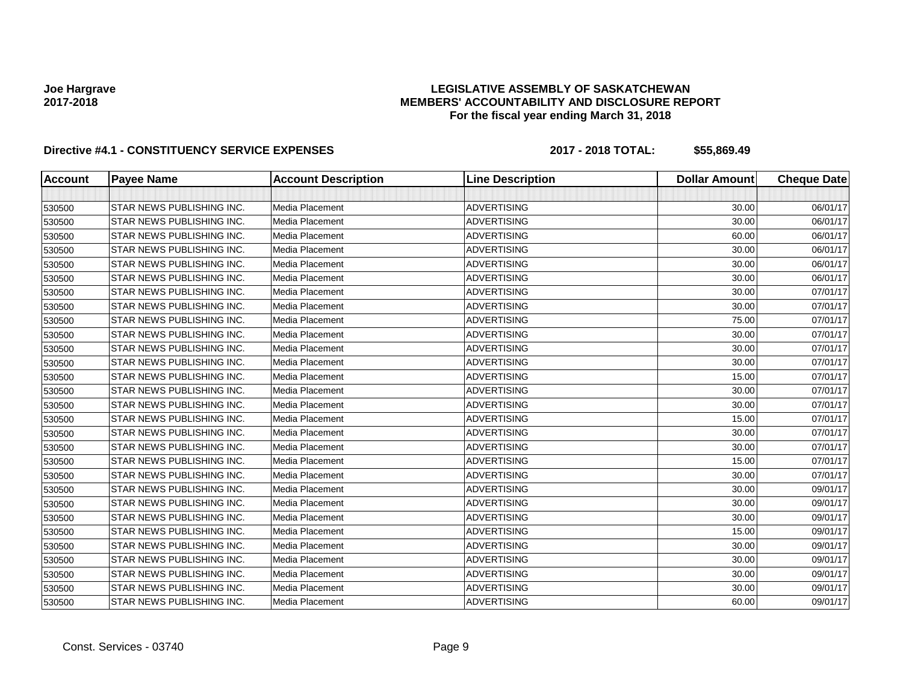### **LEGISLATIVE ASSEMBLY OF SASKATCHEWAN MEMBERS' ACCOUNTABILITY AND DISCLOSURE REPORT For the fiscal year ending March 31, 2018**

| <b>Account</b> | <b>Payee Name</b>         | <b>Account Description</b> | <b>Line Description</b> | <b>Dollar Amount</b> | <b>Cheque Date</b> |
|----------------|---------------------------|----------------------------|-------------------------|----------------------|--------------------|
|                |                           |                            |                         |                      |                    |
| 530500         | STAR NEWS PUBLISHING INC. | <b>Media Placement</b>     | <b>ADVERTISING</b>      | 30.00                | 06/01/17           |
| 530500         | STAR NEWS PUBLISHING INC. | Media Placement            | <b>ADVERTISING</b>      | 30.00                | 06/01/17           |
| 530500         | STAR NEWS PUBLISHING INC. | <b>Media Placement</b>     | <b>ADVERTISING</b>      | 60.00                | 06/01/17           |
| 530500         | STAR NEWS PUBLISHING INC. | Media Placement            | <b>ADVERTISING</b>      | 30.00                | 06/01/17           |
| 530500         | STAR NEWS PUBLISHING INC. | <b>Media Placement</b>     | <b>ADVERTISING</b>      | 30.00                | 06/01/17           |
| 530500         | STAR NEWS PUBLISHING INC. | Media Placement            | <b>ADVERTISING</b>      | 30.00                | 06/01/17           |
| 530500         | STAR NEWS PUBLISHING INC. | <b>Media Placement</b>     | <b>ADVERTISING</b>      | 30.00                | 07/01/17           |
| 530500         | STAR NEWS PUBLISHING INC. | Media Placement            | <b>ADVERTISING</b>      | 30.00                | 07/01/17           |
| 530500         | STAR NEWS PUBLISHING INC. | Media Placement            | <b>ADVERTISING</b>      | 75.00                | 07/01/17           |
| 530500         | STAR NEWS PUBLISHING INC. | Media Placement            | <b>ADVERTISING</b>      | 30.00                | 07/01/17           |
| 530500         | STAR NEWS PUBLISHING INC. | <b>Media Placement</b>     | <b>ADVERTISING</b>      | 30.00                | 07/01/17           |
| 530500         | STAR NEWS PUBLISHING INC. | Media Placement            | <b>ADVERTISING</b>      | 30.00                | 07/01/17           |
| 530500         | STAR NEWS PUBLISHING INC. | Media Placement            | <b>ADVERTISING</b>      | 15.00                | 07/01/17           |
| 530500         | STAR NEWS PUBLISHING INC. | Media Placement            | <b>ADVERTISING</b>      | 30.00                | 07/01/17           |
| 530500         | STAR NEWS PUBLISHING INC. | Media Placement            | <b>ADVERTISING</b>      | 30.00                | 07/01/17           |
| 530500         | STAR NEWS PUBLISHING INC. | Media Placement            | <b>ADVERTISING</b>      | 15.00                | 07/01/17           |
| 530500         | STAR NEWS PUBLISHING INC. | Media Placement            | <b>ADVERTISING</b>      | 30.00                | 07/01/17           |
| 530500         | STAR NEWS PUBLISHING INC. | Media Placement            | <b>ADVERTISING</b>      | 30.00                | 07/01/17           |
| 530500         | STAR NEWS PUBLISHING INC. | Media Placement            | <b>ADVERTISING</b>      | 15.00                | 07/01/17           |
| 530500         | STAR NEWS PUBLISHING INC. | Media Placement            | <b>ADVERTISING</b>      | 30.00                | 07/01/17           |
| 530500         | STAR NEWS PUBLISHING INC. | Media Placement            | <b>ADVERTISING</b>      | 30.00                | 09/01/17           |
| 530500         | STAR NEWS PUBLISHING INC. | Media Placement            | <b>ADVERTISING</b>      | 30.00                | 09/01/17           |
| 530500         | STAR NEWS PUBLISHING INC. | Media Placement            | <b>ADVERTISING</b>      | 30.00                | 09/01/17           |
| 530500         | STAR NEWS PUBLISHING INC. | Media Placement            | <b>ADVERTISING</b>      | 15.00                | 09/01/17           |
| 530500         | STAR NEWS PUBLISHING INC. | <b>Media Placement</b>     | <b>ADVERTISING</b>      | 30.00                | 09/01/17           |
| 530500         | STAR NEWS PUBLISHING INC. | Media Placement            | <b>ADVERTISING</b>      | 30.00                | 09/01/17           |
| 530500         | STAR NEWS PUBLISHING INC. | Media Placement            | <b>ADVERTISING</b>      | 30.00                | 09/01/17           |
| 530500         | STAR NEWS PUBLISHING INC. | Media Placement            | <b>ADVERTISING</b>      | 30.00                | 09/01/17           |
| 530500         | STAR NEWS PUBLISHING INC. | Media Placement            | <b>ADVERTISING</b>      | 60.00                | 09/01/17           |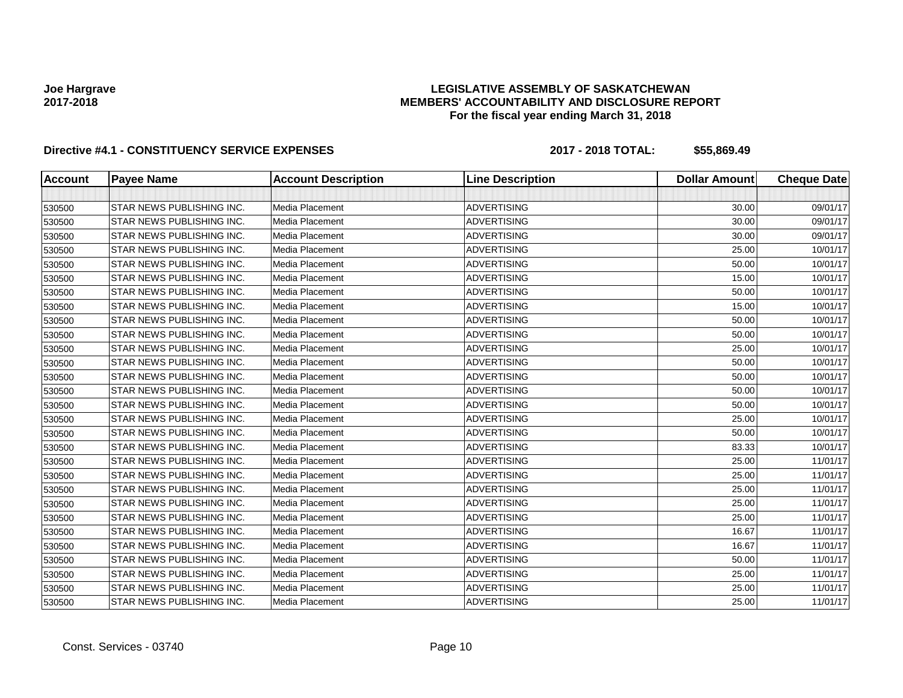### **LEGISLATIVE ASSEMBLY OF SASKATCHEWAN MEMBERS' ACCOUNTABILITY AND DISCLOSURE REPORT For the fiscal year ending March 31, 2018**

| <b>Account</b> | <b>Payee Name</b>         | <b>Account Description</b> | <b>Line Description</b> | <b>Dollar Amount</b> | <b>Cheque Date</b> |
|----------------|---------------------------|----------------------------|-------------------------|----------------------|--------------------|
|                |                           |                            |                         |                      |                    |
| 530500         | STAR NEWS PUBLISHING INC. | <b>Media Placement</b>     | <b>ADVERTISING</b>      | 30.00                | 09/01/17           |
| 530500         | STAR NEWS PUBLISHING INC. | Media Placement            | <b>ADVERTISING</b>      | 30.00                | 09/01/17           |
| 530500         | STAR NEWS PUBLISHING INC. | <b>Media Placement</b>     | <b>ADVERTISING</b>      | 30.00                | 09/01/17           |
| 530500         | STAR NEWS PUBLISHING INC. | Media Placement            | <b>ADVERTISING</b>      | 25.00                | 10/01/17           |
| 530500         | STAR NEWS PUBLISHING INC. | <b>Media Placement</b>     | <b>ADVERTISING</b>      | 50.00                | 10/01/17           |
| 530500         | STAR NEWS PUBLISHING INC. | Media Placement            | <b>ADVERTISING</b>      | 15.00                | 10/01/17           |
| 530500         | STAR NEWS PUBLISHING INC. | <b>Media Placement</b>     | <b>ADVERTISING</b>      | 50.00                | 10/01/17           |
| 530500         | STAR NEWS PUBLISHING INC. | Media Placement            | <b>ADVERTISING</b>      | 15.00                | 10/01/17           |
| 530500         | STAR NEWS PUBLISHING INC. | Media Placement            | <b>ADVERTISING</b>      | 50.00                | 10/01/17           |
| 530500         | STAR NEWS PUBLISHING INC. | Media Placement            | <b>ADVERTISING</b>      | 50.00                | 10/01/17           |
| 530500         | STAR NEWS PUBLISHING INC. | <b>Media Placement</b>     | <b>ADVERTISING</b>      | 25.00                | 10/01/17           |
| 530500         | STAR NEWS PUBLISHING INC. | Media Placement            | <b>ADVERTISING</b>      | 50.00                | 10/01/17           |
| 530500         | STAR NEWS PUBLISHING INC. | Media Placement            | <b>ADVERTISING</b>      | 50.00                | 10/01/17           |
| 530500         | STAR NEWS PUBLISHING INC. | Media Placement            | <b>ADVERTISING</b>      | 50.00                | 10/01/17           |
| 530500         | STAR NEWS PUBLISHING INC. | Media Placement            | <b>ADVERTISING</b>      | 50.00                | 10/01/17           |
| 530500         | STAR NEWS PUBLISHING INC. | Media Placement            | <b>ADVERTISING</b>      | 25.00                | 10/01/17           |
| 530500         | STAR NEWS PUBLISHING INC. | Media Placement            | <b>ADVERTISING</b>      | 50.00                | 10/01/17           |
| 530500         | STAR NEWS PUBLISHING INC. | Media Placement            | <b>ADVERTISING</b>      | 83.33                | 10/01/17           |
| 530500         | STAR NEWS PUBLISHING INC. | Media Placement            | <b>ADVERTISING</b>      | 25.00                | 11/01/17           |
| 530500         | STAR NEWS PUBLISHING INC. | Media Placement            | <b>ADVERTISING</b>      | 25.00                | 11/01/17           |
| 530500         | STAR NEWS PUBLISHING INC. | Media Placement            | <b>ADVERTISING</b>      | 25.00                | 11/01/17           |
| 530500         | STAR NEWS PUBLISHING INC. | Media Placement            | <b>ADVERTISING</b>      | 25.00                | 11/01/17           |
| 530500         | STAR NEWS PUBLISHING INC. | Media Placement            | <b>ADVERTISING</b>      | 25.00                | 11/01/17           |
| 530500         | STAR NEWS PUBLISHING INC. | Media Placement            | <b>ADVERTISING</b>      | 16.67                | 11/01/17           |
| 530500         | STAR NEWS PUBLISHING INC. | <b>Media Placement</b>     | <b>ADVERTISING</b>      | 16.67                | 11/01/17           |
| 530500         | STAR NEWS PUBLISHING INC. | Media Placement            | <b>ADVERTISING</b>      | 50.00                | 11/01/17           |
| 530500         | STAR NEWS PUBLISHING INC. | Media Placement            | <b>ADVERTISING</b>      | 25.00                | 11/01/17           |
| 530500         | STAR NEWS PUBLISHING INC. | Media Placement            | <b>ADVERTISING</b>      | 25.00                | 11/01/17           |
| 530500         | STAR NEWS PUBLISHING INC. | Media Placement            | <b>ADVERTISING</b>      | 25.00                | 11/01/17           |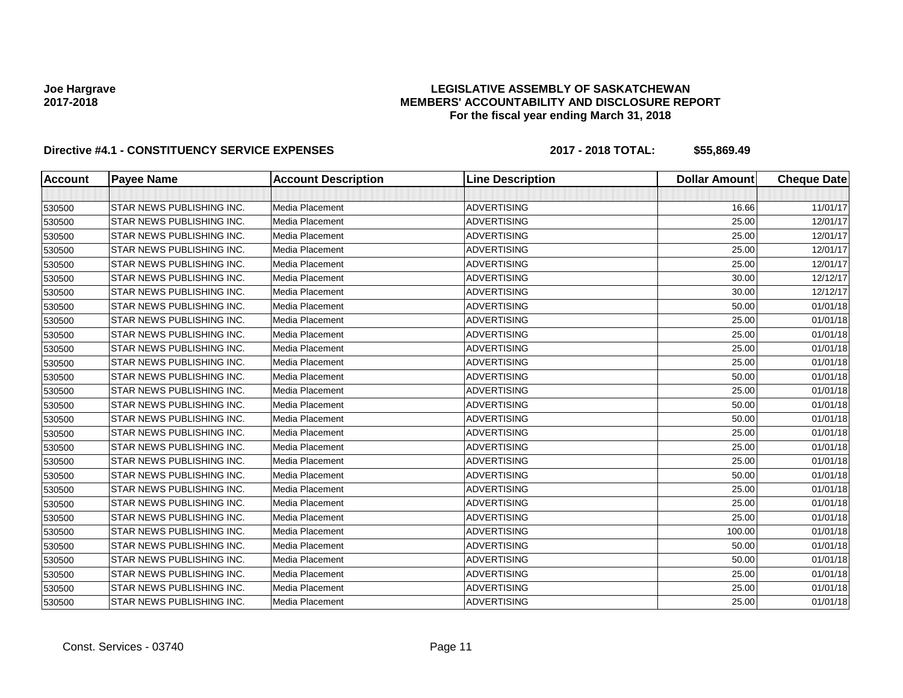### **LEGISLATIVE ASSEMBLY OF SASKATCHEWAN MEMBERS' ACCOUNTABILITY AND DISCLOSURE REPORT For the fiscal year ending March 31, 2018**

| <b>Account</b> | <b>Payee Name</b>         | <b>Account Description</b> | <b>Line Description</b> | <b>Dollar Amount</b> | <b>Cheque Date</b> |
|----------------|---------------------------|----------------------------|-------------------------|----------------------|--------------------|
|                |                           |                            |                         |                      |                    |
| 530500         | STAR NEWS PUBLISHING INC. | Media Placement            | <b>ADVERTISING</b>      | 16.66                | 11/01/17           |
| 530500         | STAR NEWS PUBLISHING INC. | Media Placement            | <b>ADVERTISING</b>      | 25.00                | 12/01/17           |
| 530500         | STAR NEWS PUBLISHING INC. | <b>Media Placement</b>     | <b>ADVERTISING</b>      | 25.00                | 12/01/17           |
| 530500         | STAR NEWS PUBLISHING INC. | Media Placement            | <b>ADVERTISING</b>      | 25.00                | 12/01/17           |
| 530500         | STAR NEWS PUBLISHING INC. | Media Placement            | <b>ADVERTISING</b>      | 25.00                | 12/01/17           |
| 530500         | STAR NEWS PUBLISHING INC. | Media Placement            | <b>ADVERTISING</b>      | 30.00                | 12/12/17           |
| 530500         | STAR NEWS PUBLISHING INC. | Media Placement            | <b>ADVERTISING</b>      | 30.00                | 12/12/17           |
| 530500         | STAR NEWS PUBLISHING INC. | Media Placement            | <b>ADVERTISING</b>      | 50.00                | 01/01/18           |
| 530500         | STAR NEWS PUBLISHING INC. | <b>Media Placement</b>     | <b>ADVERTISING</b>      | 25.00                | 01/01/18           |
| 530500         | STAR NEWS PUBLISHING INC. | Media Placement            | <b>ADVERTISING</b>      | 25.00                | 01/01/18           |
| 530500         | STAR NEWS PUBLISHING INC. | <b>Media Placement</b>     | <b>ADVERTISING</b>      | 25.00                | 01/01/18           |
| 530500         | STAR NEWS PUBLISHING INC. | Media Placement            | <b>ADVERTISING</b>      | 25.00                | 01/01/18           |
| 530500         | STAR NEWS PUBLISHING INC. | Media Placement            | <b>ADVERTISING</b>      | 50.00                | 01/01/18           |
| 530500         | STAR NEWS PUBLISHING INC. | <b>Media Placement</b>     | <b>ADVERTISING</b>      | 25.00                | 01/01/18           |
| 530500         | STAR NEWS PUBLISHING INC. | Media Placement            | <b>ADVERTISING</b>      | 50.00                | 01/01/18           |
| 530500         | STAR NEWS PUBLISHING INC. | Media Placement            | <b>ADVERTISING</b>      | 50.00                | 01/01/18           |
| 530500         | STAR NEWS PUBLISHING INC. | <b>Media Placement</b>     | <b>ADVERTISING</b>      | 25.00                | 01/01/18           |
| 530500         | STAR NEWS PUBLISHING INC. | Media Placement            | <b>ADVERTISING</b>      | 25.00                | 01/01/18           |
| 530500         | STAR NEWS PUBLISHING INC. | Media Placement            | <b>ADVERTISING</b>      | 25.00                | 01/01/18           |
| 530500         | STAR NEWS PUBLISHING INC. | Media Placement            | <b>ADVERTISING</b>      | 50.00                | 01/01/18           |
| 530500         | STAR NEWS PUBLISHING INC. | Media Placement            | <b>ADVERTISING</b>      | 25.00                | 01/01/18           |
| 530500         | STAR NEWS PUBLISHING INC. | Media Placement            | <b>ADVERTISING</b>      | 25.00                | 01/01/18           |
| 530500         | STAR NEWS PUBLISHING INC. | Media Placement            | <b>ADVERTISING</b>      | 25.00                | 01/01/18           |
| 530500         | STAR NEWS PUBLISHING INC. | Media Placement            | <b>ADVERTISING</b>      | 100.00               | 01/01/18           |
| 530500         | STAR NEWS PUBLISHING INC. | Media Placement            | <b>ADVERTISING</b>      | 50.00                | 01/01/18           |
| 530500         | STAR NEWS PUBLISHING INC. | Media Placement            | <b>ADVERTISING</b>      | 50.00                | 01/01/18           |
| 530500         | STAR NEWS PUBLISHING INC. | Media Placement            | <b>ADVERTISING</b>      | 25.00                | 01/01/18           |
| 530500         | STAR NEWS PUBLISHING INC. | Media Placement            | <b>ADVERTISING</b>      | 25.00                | 01/01/18           |
| 530500         | STAR NEWS PUBLISHING INC. | Media Placement            | <b>ADVERTISING</b>      | 25.00                | 01/01/18           |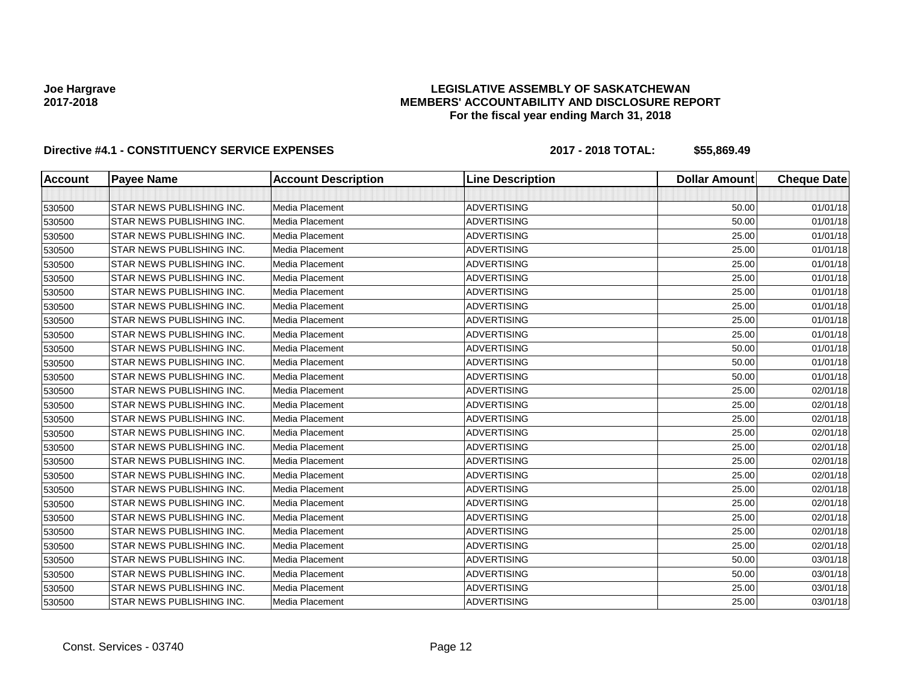### **LEGISLATIVE ASSEMBLY OF SASKATCHEWAN MEMBERS' ACCOUNTABILITY AND DISCLOSURE REPORT For the fiscal year ending March 31, 2018**

| <b>Account</b> | <b>Payee Name</b>         | <b>Account Description</b> | <b>Line Description</b> | <b>Dollar Amount</b> | <b>Cheque Date</b> |
|----------------|---------------------------|----------------------------|-------------------------|----------------------|--------------------|
|                |                           |                            |                         |                      |                    |
| 530500         | STAR NEWS PUBLISHING INC. | Media Placement            | <b>ADVERTISING</b>      | 50.00                | 01/01/18           |
| 530500         | STAR NEWS PUBLISHING INC. | Media Placement            | <b>ADVERTISING</b>      | 50.00                | 01/01/18           |
| 530500         | STAR NEWS PUBLISHING INC. | Media Placement            | <b>ADVERTISING</b>      | 25.00                | 01/01/18           |
| 530500         | STAR NEWS PUBLISHING INC. | Media Placement            | <b>ADVERTISING</b>      | 25.00                | 01/01/18           |
| 530500         | STAR NEWS PUBLISHING INC. | Media Placement            | <b>ADVERTISING</b>      | 25.00                | 01/01/18           |
| 530500         | STAR NEWS PUBLISHING INC. | Media Placement            | <b>ADVERTISING</b>      | 25.00                | 01/01/18           |
| 530500         | STAR NEWS PUBLISHING INC. | Media Placement            | <b>ADVERTISING</b>      | 25.00                | 01/01/18           |
| 530500         | STAR NEWS PUBLISHING INC. | Media Placement            | <b>ADVERTISING</b>      | 25.00                | 01/01/18           |
| 530500         | STAR NEWS PUBLISHING INC. | Media Placement            | <b>ADVERTISING</b>      | 25.00                | 01/01/18           |
| 530500         | STAR NEWS PUBLISHING INC. | Media Placement            | <b>ADVERTISING</b>      | 25.00                | 01/01/18           |
| 530500         | STAR NEWS PUBLISHING INC. | Media Placement            | <b>ADVERTISING</b>      | 50.00                | 01/01/18           |
| 530500         | STAR NEWS PUBLISHING INC. | Media Placement            | <b>ADVERTISING</b>      | 50.00                | 01/01/18           |
| 530500         | STAR NEWS PUBLISHING INC. | Media Placement            | <b>ADVERTISING</b>      | 50.00                | 01/01/18           |
| 530500         | STAR NEWS PUBLISHING INC. | Media Placement            | <b>ADVERTISING</b>      | 25.00                | 02/01/18           |
| 530500         | STAR NEWS PUBLISHING INC. | Media Placement            | <b>ADVERTISING</b>      | 25.00                | 02/01/18           |
| 530500         | STAR NEWS PUBLISHING INC. | Media Placement            | <b>ADVERTISING</b>      | 25.00                | 02/01/18           |
| 530500         | STAR NEWS PUBLISHING INC. | Media Placement            | <b>ADVERTISING</b>      | 25.00                | 02/01/18           |
| 530500         | STAR NEWS PUBLISHING INC. | Media Placement            | <b>ADVERTISING</b>      | 25.00                | 02/01/18           |
| 530500         | STAR NEWS PUBLISHING INC. | Media Placement            | <b>ADVERTISING</b>      | 25.00                | 02/01/18           |
| 530500         | STAR NEWS PUBLISHING INC. | Media Placement            | <b>ADVERTISING</b>      | 25.00                | 02/01/18           |
| 530500         | STAR NEWS PUBLISHING INC. | Media Placement            | <b>ADVERTISING</b>      | 25.00                | 02/01/18           |
| 530500         | STAR NEWS PUBLISHING INC. | Media Placement            | <b>ADVERTISING</b>      | 25.00                | 02/01/18           |
| 530500         | STAR NEWS PUBLISHING INC. | Media Placement            | <b>ADVERTISING</b>      | 25.00                | 02/01/18           |
| 530500         | STAR NEWS PUBLISHING INC. | Media Placement            | <b>ADVERTISING</b>      | 25.00                | 02/01/18           |
| 530500         | STAR NEWS PUBLISHING INC. | Media Placement            | <b>ADVERTISING</b>      | 25.00                | 02/01/18           |
| 530500         | STAR NEWS PUBLISHING INC. | Media Placement            | <b>ADVERTISING</b>      | 50.00                | 03/01/18           |
| 530500         | STAR NEWS PUBLISHING INC. | Media Placement            | <b>ADVERTISING</b>      | 50.00                | 03/01/18           |
| 530500         | STAR NEWS PUBLISHING INC. | Media Placement            | <b>ADVERTISING</b>      | 25.00                | 03/01/18           |
| 530500         | STAR NEWS PUBLISHING INC. | Media Placement            | <b>ADVERTISING</b>      | 25.00                | 03/01/18           |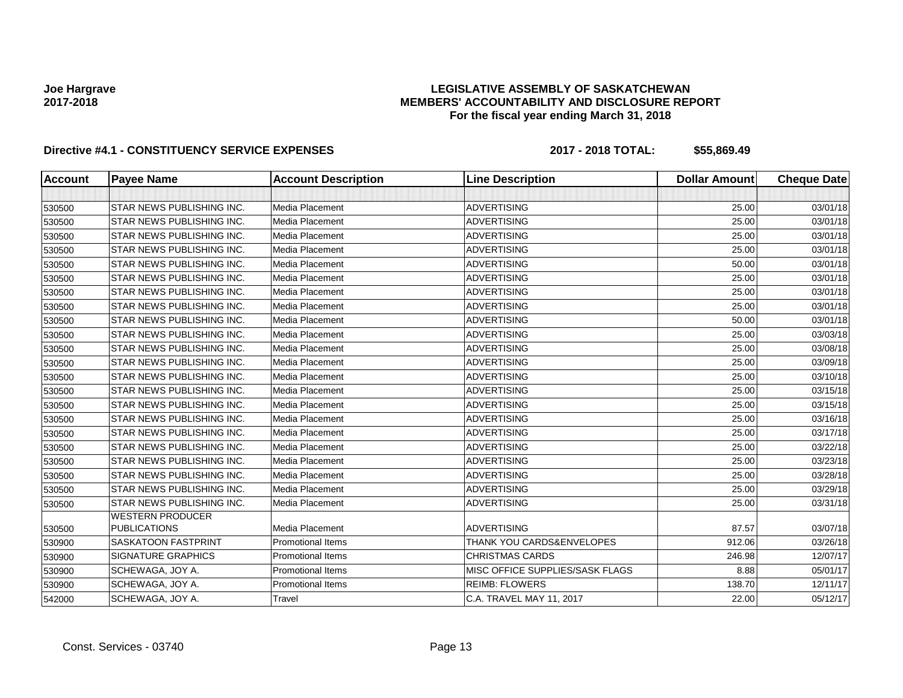### **LEGISLATIVE ASSEMBLY OF SASKATCHEWAN MEMBERS' ACCOUNTABILITY AND DISCLOSURE REPORT For the fiscal year ending March 31, 2018**

| <b>Account</b> | <b>Payee Name</b>                              | <b>Account Description</b> | <b>Line Description</b>         | <b>Dollar Amount</b> | <b>Cheque Date</b> |
|----------------|------------------------------------------------|----------------------------|---------------------------------|----------------------|--------------------|
|                |                                                |                            |                                 |                      |                    |
| 530500         | STAR NEWS PUBLISHING INC.                      | Media Placement            | <b>ADVERTISING</b>              | 25.00                | 03/01/18           |
| 530500         | STAR NEWS PUBLISHING INC.                      | Media Placement            | <b>ADVERTISING</b>              | 25.00                | 03/01/18           |
| 530500         | STAR NEWS PUBLISHING INC.                      | Media Placement            | <b>ADVERTISING</b>              | 25.00                | 03/01/18           |
| 530500         | STAR NEWS PUBLISHING INC.                      | Media Placement            | <b>ADVERTISING</b>              | 25.00                | 03/01/18           |
| 530500         | STAR NEWS PUBLISHING INC.                      | Media Placement            | <b>ADVERTISING</b>              | 50.00                | 03/01/18           |
| 530500         | STAR NEWS PUBLISHING INC.                      | Media Placement            | <b>ADVERTISING</b>              | 25.00                | 03/01/18           |
| 530500         | STAR NEWS PUBLISHING INC.                      | Media Placement            | <b>ADVERTISING</b>              | 25.00                | 03/01/18           |
| 530500         | STAR NEWS PUBLISHING INC.                      | Media Placement            | <b>ADVERTISING</b>              | 25.00                | 03/01/18           |
| 530500         | STAR NEWS PUBLISHING INC.                      | Media Placement            | <b>ADVERTISING</b>              | 50.00                | 03/01/18           |
| 530500         | STAR NEWS PUBLISHING INC.                      | Media Placement            | <b>ADVERTISING</b>              | 25.00                | 03/03/18           |
| 530500         | STAR NEWS PUBLISHING INC.                      | Media Placement            | <b>ADVERTISING</b>              | 25.00                | 03/08/18           |
| 530500         | STAR NEWS PUBLISHING INC.                      | Media Placement            | <b>ADVERTISING</b>              | 25.00                | 03/09/18           |
| 530500         | STAR NEWS PUBLISHING INC.                      | Media Placement            | <b>ADVERTISING</b>              | 25.00                | 03/10/18           |
| 530500         | STAR NEWS PUBLISHING INC.                      | Media Placement            | <b>ADVERTISING</b>              | 25.00                | 03/15/18           |
| 530500         | STAR NEWS PUBLISHING INC.                      | Media Placement            | <b>ADVERTISING</b>              | 25.00                | 03/15/18           |
| 530500         | STAR NEWS PUBLISHING INC.                      | Media Placement            | <b>ADVERTISING</b>              | 25.00                | 03/16/18           |
| 530500         | STAR NEWS PUBLISHING INC.                      | Media Placement            | <b>ADVERTISING</b>              | 25.00                | 03/17/18           |
| 530500         | STAR NEWS PUBLISHING INC.                      | Media Placement            | <b>ADVERTISING</b>              | 25.00                | 03/22/18           |
| 530500         | STAR NEWS PUBLISHING INC.                      | Media Placement            | <b>ADVERTISING</b>              | 25.00                | 03/23/18           |
| 530500         | STAR NEWS PUBLISHING INC.                      | Media Placement            | <b>ADVERTISING</b>              | 25.00                | 03/28/18           |
| 530500         | STAR NEWS PUBLISHING INC.                      | Media Placement            | <b>ADVERTISING</b>              | 25.00                | 03/29/18           |
| 530500         | STAR NEWS PUBLISHING INC.                      | Media Placement            | <b>ADVERTISING</b>              | 25.00                | 03/31/18           |
| 530500         | <b>WESTERN PRODUCER</b><br><b>PUBLICATIONS</b> | Media Placement            | <b>ADVERTISING</b>              | 87.57                | 03/07/18           |
| 530900         | SASKATOON FASTPRINT                            | <b>Promotional Items</b>   | THANK YOU CARDS&ENVELOPES       | 912.06               | 03/26/18           |
| 530900         | <b>SIGNATURE GRAPHICS</b>                      | <b>Promotional Items</b>   | <b>CHRISTMAS CARDS</b>          | 246.98               | 12/07/17           |
| 530900         | SCHEWAGA, JOY A.                               | <b>Promotional Items</b>   | MISC OFFICE SUPPLIES/SASK FLAGS | 8.88                 | 05/01/17           |
| 530900         | SCHEWAGA, JOY A.                               | <b>Promotional Items</b>   | <b>REIMB: FLOWERS</b>           | 138.70               | 12/11/17           |
| 542000         | SCHEWAGA, JOY A.                               | Travel                     | C.A. TRAVEL MAY 11, 2017        | 22.00                | 05/12/17           |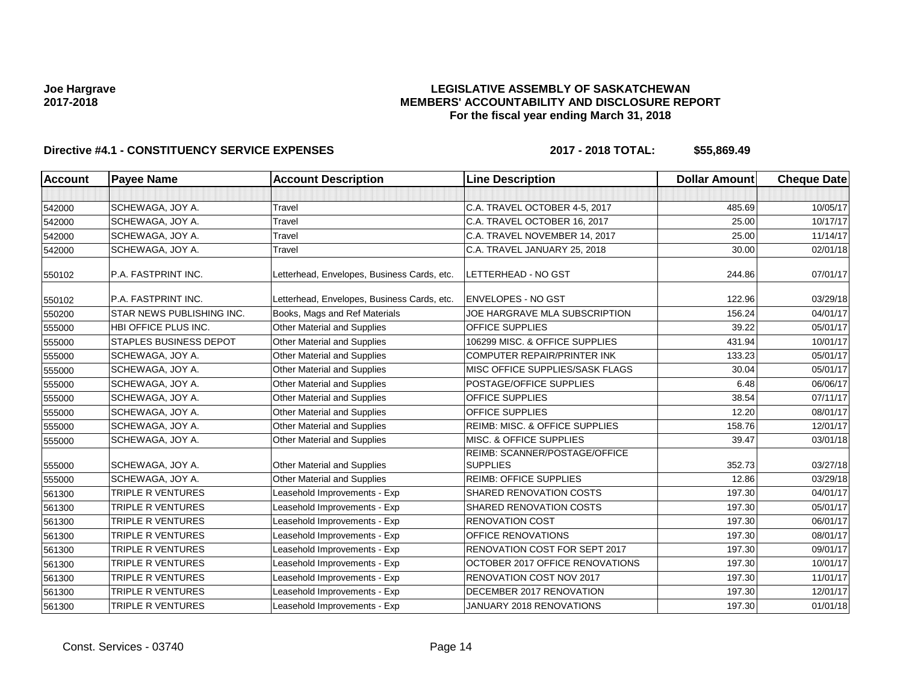### **LEGISLATIVE ASSEMBLY OF SASKATCHEWAN MEMBERS' ACCOUNTABILITY AND DISCLOSURE REPORT For the fiscal year ending March 31, 2018**

| Account | <b>Payee Name</b>                | <b>Account Description</b>                  | <b>Line Description</b>                          | <b>Dollar Amount</b> | <b>Cheque Date</b> |
|---------|----------------------------------|---------------------------------------------|--------------------------------------------------|----------------------|--------------------|
|         |                                  |                                             |                                                  |                      |                    |
| 542000  | <b>SCHEWAGA, JOY A.</b>          | Travel                                      | C.A. TRAVEL OCTOBER 4-5, 2017                    | 485.69               | 10/05/17           |
| 542000  | SCHEWAGA, JOY A.                 | Travel                                      | C.A. TRAVEL OCTOBER 16, 2017                     | 25.00                | 10/17/17           |
| 542000  | SCHEWAGA, JOY A.                 | Travel                                      | C.A. TRAVEL NOVEMBER 14, 2017                    | 25.00                | 11/14/17           |
| 542000  | SCHEWAGA, JOY A.                 | Travel                                      | C.A. TRAVEL JANUARY 25, 2018                     | 30.00                | 02/01/18           |
| 550102  | P.A. FASTPRINT INC.              | Letterhead, Envelopes, Business Cards, etc. | LETTERHEAD - NO GST                              | 244.86               | 07/01/17           |
| 550102  | P.A. FASTPRINT INC.              | Letterhead, Envelopes, Business Cards, etc. | <b>ENVELOPES - NO GST</b>                        | 122.96               | 03/29/18           |
| 550200  | <b>STAR NEWS PUBLISHING INC.</b> | Books, Mags and Ref Materials               | JOE HARGRAVE MLA SUBSCRIPTION                    | 156.24               | 04/01/17           |
| 555000  | HBI OFFICE PLUS INC.             | <b>Other Material and Supplies</b>          | OFFICE SUPPLIES                                  | 39.22                | 05/01/17           |
| 555000  | <b>STAPLES BUSINESS DEPOT</b>    | Other Material and Supplies                 | 106299 MISC. & OFFICE SUPPLIES                   | 431.94               | 10/01/17           |
| 555000  | SCHEWAGA, JOY A.                 | Other Material and Supplies                 | COMPUTER REPAIR/PRINTER INK                      | 133.23               | 05/01/17           |
| 555000  | SCHEWAGA, JOY A.                 | Other Material and Supplies                 | MISC OFFICE SUPPLIES/SASK FLAGS                  | 30.04                | 05/01/17           |
| 555000  | SCHEWAGA, JOY A.                 | <b>Other Material and Supplies</b>          | POSTAGE/OFFICE SUPPLIES                          | 6.48                 | 06/06/17           |
| 555000  | SCHEWAGA, JOY A.                 | Other Material and Supplies                 | OFFICE SUPPLIES                                  | 38.54                | 07/11/17           |
| 555000  | SCHEWAGA, JOY A.                 | Other Material and Supplies                 | <b>OFFICE SUPPLIES</b>                           | 12.20                | 08/01/17           |
| 555000  | SCHEWAGA, JOY A.                 | Other Material and Supplies                 | REIMB: MISC. & OFFICE SUPPLIES                   | 158.76               | 12/01/17           |
| 555000  | SCHEWAGA, JOY A.                 | Other Material and Supplies                 | MISC. & OFFICE SUPPLIES                          | 39.47                | 03/01/18           |
| 555000  | SCHEWAGA, JOY A.                 | Other Material and Supplies                 | REIMB: SCANNER/POSTAGE/OFFICE<br><b>SUPPLIES</b> | 352.73               | 03/27/18           |
| 555000  | SCHEWAGA, JOY A.                 | Other Material and Supplies                 | <b>REIMB: OFFICE SUPPLIES</b>                    | 12.86                | 03/29/18           |
| 561300  | <b>TRIPLE R VENTURES</b>         | Leasehold Improvements - Exp                | SHARED RENOVATION COSTS                          | 197.30               | 04/01/17           |
| 561300  | <b>TRIPLE R VENTURES</b>         | Leasehold Improvements - Exp                | SHARED RENOVATION COSTS                          | 197.30               | 05/01/17           |
| 561300  | TRIPLE R VENTURES                | Leasehold Improvements - Exp                | <b>RENOVATION COST</b>                           | 197.30               | 06/01/17           |
| 561300  | <b>TRIPLE R VENTURES</b>         | Leasehold Improvements - Exp                | OFFICE RENOVATIONS                               | 197.30               | 08/01/17           |
| 561300  | <b>TRIPLE R VENTURES</b>         | Leasehold Improvements - Exp                | RENOVATION COST FOR SEPT 2017                    | 197.30               | 09/01/17           |
| 561300  | <b>TRIPLE R VENTURES</b>         | Leasehold Improvements - Exp                | OCTOBER 2017 OFFICE RENOVATIONS                  | 197.30               | 10/01/17           |
| 561300  | TRIPLE R VENTURES                | Leasehold Improvements - Exp                | RENOVATION COST NOV 2017                         | 197.30               | 11/01/17           |
| 561300  | <b>TRIPLE R VENTURES</b>         | Leasehold Improvements - Exp                | DECEMBER 2017 RENOVATION                         | 197.30               | 12/01/17           |
| 561300  | <b>TRIPLE R VENTURES</b>         | Leasehold Improvements - Exp                | JANUARY 2018 RENOVATIONS                         | 197.30               | 01/01/18           |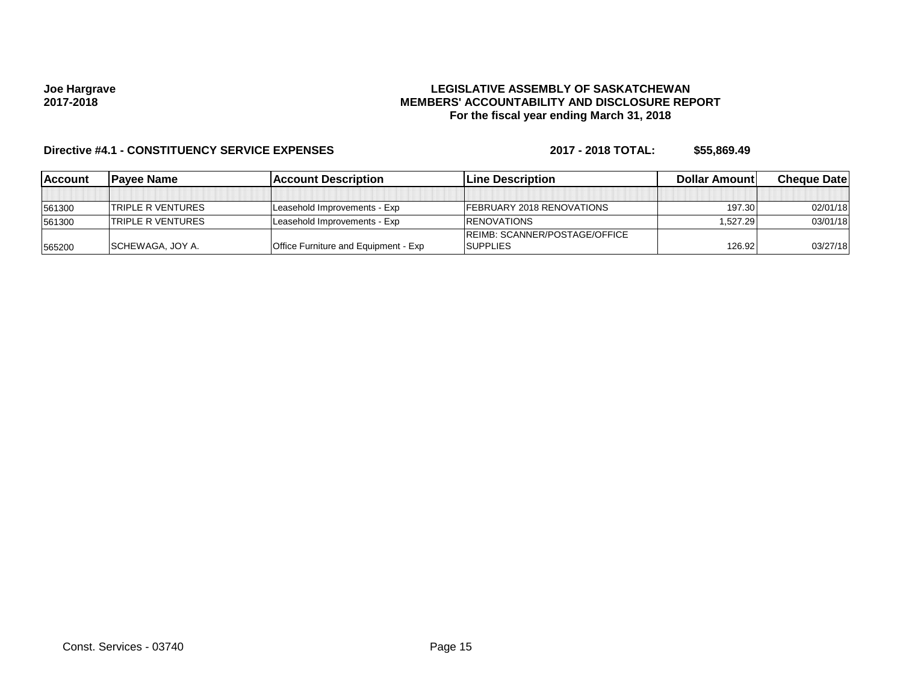### **LEGISLATIVE ASSEMBLY OF SASKATCHEWAN MEMBERS' ACCOUNTABILITY AND DISCLOSURE REPORT For the fiscal year ending March 31, 2018**

| <b>IAccount</b> | IPavee Name              | <b>IAccount Description</b>                 | <b>Line Description</b>               | <b>Dollar Amountl</b> | <b>Cheque Datel</b> |
|-----------------|--------------------------|---------------------------------------------|---------------------------------------|-----------------------|---------------------|
|                 |                          |                                             |                                       |                       |                     |
| 561300          | <b>TRIPLE R VENTURES</b> | Leasehold Improvements - Exp                | <b>IFEBRUARY 2018 RENOVATIONS</b>     | 197.30                | 02/01/18            |
| 561300          | <b>TRIPLE R VENTURES</b> | Leasehold Improvements - Exp                | <b>IRENOVATIONS</b>                   | 1.527.29              | 03/01/18            |
|                 |                          |                                             | <b>IREIMB: SCANNER/POSTAGE/OFFICE</b> |                       |                     |
| 565200          | <b>SCHEWAGA, JOY A.</b>  | <b>Office Furniture and Equipment - Exp</b> | <b>SUPPLIES</b>                       | 126.92                | 03/27/18            |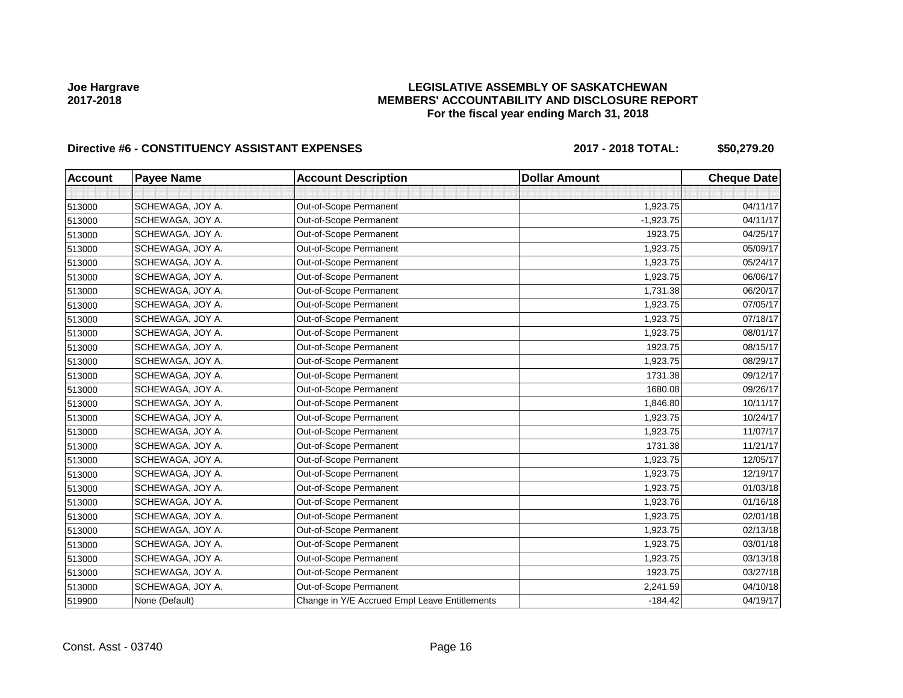### **LEGISLATIVE ASSEMBLY OF SASKATCHEWAN MEMBERS' ACCOUNTABILITY AND DISCLOSURE REPORT For the fiscal year ending March 31, 2018**

# Directive #6 - CONSTITUENCY ASSISTANT EXPENSES 2017 - 2018 TOTAL: \$50,279.20

| <b>Account</b> | <b>Payee Name</b> | <b>Account Description</b>                    | <b>Dollar Amount</b> | <b>Cheque Date</b> |
|----------------|-------------------|-----------------------------------------------|----------------------|--------------------|
|                |                   |                                               |                      |                    |
| 513000         | SCHEWAGA, JOY A.  | Out-of-Scope Permanent                        | 1,923.75             | 04/11/17           |
| 513000         | SCHEWAGA, JOY A.  | Out-of-Scope Permanent                        | $-1,923.75$          | 04/11/17           |
| 513000         | SCHEWAGA, JOY A.  | Out-of-Scope Permanent                        | 1923.75              | 04/25/17           |
| 513000         | SCHEWAGA, JOY A.  | Out-of-Scope Permanent                        | 1,923.75             | 05/09/17           |
| 513000         | SCHEWAGA, JOY A.  | Out-of-Scope Permanent                        | 1,923.75             | 05/24/17           |
| 513000         | SCHEWAGA, JOY A.  | Out-of-Scope Permanent                        | 1,923.75             | 06/06/17           |
| 513000         | SCHEWAGA, JOY A.  | Out-of-Scope Permanent                        | 1,731.38             | 06/20/17           |
| 513000         | SCHEWAGA, JOY A.  | Out-of-Scope Permanent                        | 1,923.75             | 07/05/17           |
| 513000         | SCHEWAGA, JOY A.  | Out-of-Scope Permanent                        | 1,923.75             | 07/18/17           |
| 513000         | SCHEWAGA, JOY A.  | Out-of-Scope Permanent                        | 1,923.75             | 08/01/17           |
| 513000         | SCHEWAGA, JOY A.  | Out-of-Scope Permanent                        | 1923.75              | 08/15/17           |
| 513000         | SCHEWAGA, JOY A.  | Out-of-Scope Permanent                        | 1,923.75             | 08/29/17           |
| 513000         | SCHEWAGA, JOY A.  | Out-of-Scope Permanent                        | 1731.38              | 09/12/17           |
| 513000         | SCHEWAGA, JOY A.  | Out-of-Scope Permanent                        | 1680.08              | 09/26/17           |
| 513000         | SCHEWAGA, JOY A.  | Out-of-Scope Permanent                        | 1,846.80             | 10/11/17           |
| 513000         | SCHEWAGA, JOY A.  | Out-of-Scope Permanent                        | 1,923.75             | 10/24/17           |
| 513000         | SCHEWAGA, JOY A.  | Out-of-Scope Permanent                        | 1,923.75             | 11/07/17           |
| 513000         | SCHEWAGA, JOY A.  | Out-of-Scope Permanent                        | 1731.38              | 11/21/17           |
| 513000         | SCHEWAGA, JOY A.  | Out-of-Scope Permanent                        | 1,923.75             | 12/05/17           |
| 513000         | SCHEWAGA, JOY A.  | Out-of-Scope Permanent                        | 1,923.75             | 12/19/17           |
| 513000         | SCHEWAGA, JOY A.  | Out-of-Scope Permanent                        | 1,923.75             | 01/03/18           |
| 513000         | SCHEWAGA, JOY A.  | Out-of-Scope Permanent                        | 1,923.76             | 01/16/18           |
| 513000         | SCHEWAGA, JOY A.  | Out-of-Scope Permanent                        | 1,923.75             | 02/01/18           |
| 513000         | SCHEWAGA, JOY A.  | Out-of-Scope Permanent                        | 1,923.75             | 02/13/18           |
| 513000         | SCHEWAGA, JOY A.  | Out-of-Scope Permanent                        | 1,923.75             | 03/01/18           |
| 513000         | SCHEWAGA, JOY A.  | Out-of-Scope Permanent                        | 1,923.75             | 03/13/18           |
| 513000         | SCHEWAGA, JOY A.  | Out-of-Scope Permanent                        | 1923.75              | 03/27/18           |
| 513000         | SCHEWAGA, JOY A.  | Out-of-Scope Permanent                        | 2,241.59             | 04/10/18           |
| 519900         | None (Default)    | Change in Y/E Accrued Empl Leave Entitlements | $-184.42$            | 04/19/17           |